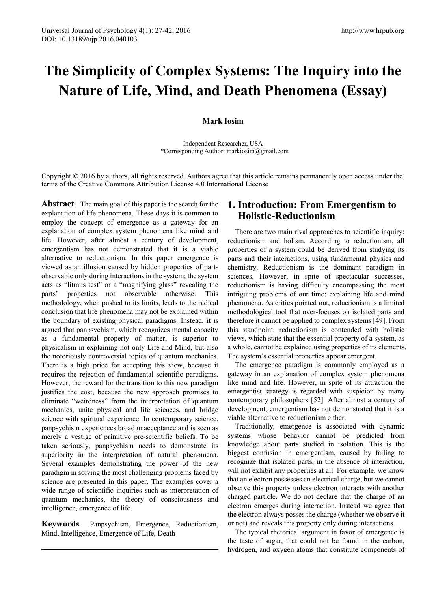# **The Simplicity of Complex Systems: The Inquiry into the Nature of Life, Mind, and Death Phenomena (Essay)**

### **Mark Iosim**

Independent Researcher, USA \*Corresponding Author: markiosim@gmail.com

Copyright  $\odot$  2016 by authors, all rights reserved. Authors agree that this article remains permanently open access under the terms of the Creative Commons Attribution License 4.0 International License

**Abstract** The main goal of this paper is the search for the explanation of life phenomena. These days it is common to employ the concept of emergence as a gateway for an explanation of complex system phenomena like mind and life. However, after almost a century of development, emergentism has not demonstrated that it is a viable alternative to reductionism. In this paper emergence is viewed as an illusion caused by hidden properties of parts observable only during interactions in the system; the system acts as "litmus test" or a "magnifying glass" revealing the parts' properties not observable otherwise. This methodology, when pushed to its limits, leads to the radical conclusion that life phenomena may not be explained within the boundary of existing physical paradigms. Instead, it is argued that panpsychism, which recognizes mental capacity as a fundamental property of matter, is superior to physicalism in explaining not only Life and Mind, but also the notoriously controversial topics of quantum mechanics. There is a high price for accepting this view, because it requires the rejection of fundamental scientific paradigms. However, the reward for the transition to this new paradigm justifies the cost, because the new approach promises to eliminate "weirdness" from the interpretation of quantum mechanics, unite physical and life sciences, and bridge science with spiritual experience. In contemporary science, panpsychism experiences broad unacceptance and is seen as merely a vestige of primitive pre-scientific beliefs. To be taken seriously, panpsychism needs to demonstrate its superiority in the interpretation of natural phenomena. Several examples demonstrating the power of the new paradigm in solving the most challenging problems faced by science are presented in this paper. The examples cover a wide range of scientific inquiries such as interpretation of quantum mechanics, the theory of consciousness and intelligence, emergence of life.

**Keywords** Panpsychism, Emergence, Reductionism, Mind, Intelligence, Emergence of Life, Death

# **1. Introduction: From Emergentism to Holistic-Reductionism**

There are two main rival approaches to scientific inquiry: reductionism and holism. According to reductionism, all properties of a system could be derived from studying its parts and their interactions, using fundamental physics and chemistry. Reductionism is the dominant paradigm in sciences. However, in spite of spectacular successes, reductionism is having difficulty encompassing the most intriguing problems of our time: explaining life and mind phenomena. As critics pointed out, reductionism is a limited methodological tool that over-focuses on isolated parts and therefore it cannot be applied to complex systems [49]. From this standpoint, reductionism is contended with holistic views, which state that the essential property of a system, as a whole, cannot be explained using properties of its elements. The system's essential properties appear emergent.

The emergence paradigm is commonly employed as a gateway in an explanation of complex system phenomena like mind and life. However, in spite of its attraction the emergentist strategy is regarded with suspicion by many contemporary philosophers [52]. After almost a century of development, emergentism has not demonstrated that it is a viable alternative to reductionism either.

Traditionally, emergence is associated with dynamic systems whose behavior cannot be predicted from knowledge about parts studied in isolation. This is the biggest confusion in emergentism, caused by failing to recognize that isolated parts, in the absence of interaction, will not exhibit any properties at all. For example, we know that an electron possesses an electrical charge, but we cannot observe this property unless electron interacts with another charged particle. We do not declare that the charge of an electron emerges during interaction. Instead we agree that the electron always posses the charge (whether we observe it or not) and reveals this property only during interactions.

The typical rhetorical argument in favor of emergence is the taste of sugar, that could not be found in the carbon, hydrogen, and oxygen atoms that constitute components of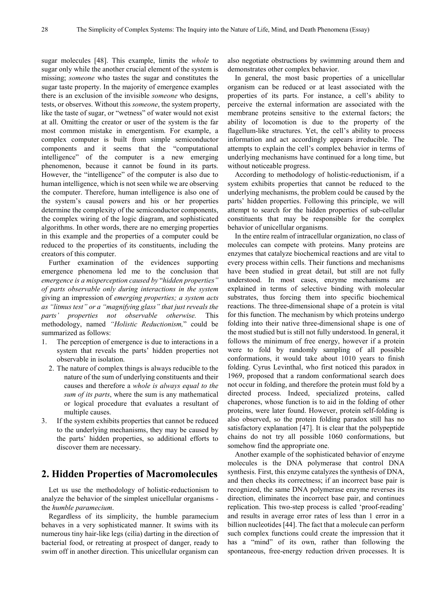sugar molecules [48]. This example, limits the *whole* to sugar only while the another crucial element of the system is missing; *someone* who tastes the sugar and constitutes the sugar taste property. In the majority of emergence examples there is an exclusion of the invisible *someone* who designs, tests, or observes. Without this *someone*, the system property, like the taste of sugar, or "wetness" of water would not exist at all. Omitting the creator or user of the system is the far most common mistake in emergentism. For example, a complex computer is built from simple semiconductor components and it seems that the "computational intelligence" of the computer is a new emerging phenomenon, because it cannot be found in its parts. However, the "intelligence" of the computer is also due to human intelligence, which is not seen while we are observing the computer. Therefore, human intelligence is also one of the system's causal powers and his or her properties determine the complexity of the semiconductor components, the complex wiring of the logic diagram, and sophisticated algorithms. In other words, there are no emerging properties in this example and the properties of a computer could be reduced to the properties of its constituents, including the creators of this computer.

Further examination of the evidences supporting emergence phenomena led me to the conclusion that *emergence is a misperception caused by* "*hidden properties" of parts observable only during interactions in the system* giving an impression of *emerging properties; a system acts as "litmus test" or a "magnifying glass" that just reveals the parts' properties not observable otherwise.* This methodology, named *"Holistic Reductionism,*" could be summarized as follows:

- 1. The perception of emergence is due to interactions in a system that reveals the parts' hidden properties not observable in isolation.
	- 2. The nature of complex things is always reducible to the nature of the sum of underlying constituents and their causes and therefore a *whole is always equal to the sum of its parts*, where the sum is any mathematical or logical procedure that evaluates a resultant of multiple causes.
- 3. If the system exhibits properties that cannot be reduced to the underlying mechanisms, they may be caused by the parts' hidden properties, so additional efforts to discover them are necessary.

### **2. Hidden Properties of Macromolecules**

Let us use the methodology of holistic-reductionism to analyze the behavior of the simplest unicellular organisms the *humble paramecium*.

Regardless of its simplicity, the humble paramecium behaves in a very sophisticated manner. It swims with its numerous tiny hair-like legs (cilia) darting in the direction of bacterial food, or retreating at prospect of danger, ready to swim off in another direction. This unicellular organism can

also negotiate obstructions by swimming around them and demonstrates other complex behavior.

In general, the most basic properties of a unicellular organism can be reduced or at least associated with the properties of its parts. For instance, a cell's ability to perceive the external information are associated with the membrane proteins sensitive to the external factors; the ability of locomotion is due to the property of the flagellum-like structures. Yet, the cell's ability to process information and act accordingly appears irreducible. The attempts to explain the cell's complex behavior in terms of underlying mechanisms have continued for a long time, but without noticeable progress.

According to methodology of holistic-reductionism, if a system exhibits properties that cannot be reduced to the underlying mechanisms, the problem could be caused by the parts' hidden properties. Following this principle, we will attempt to search for the hidden properties of sub-cellular constituents that may be responsible for the complex behavior of unicellular organisms.

In the entire realm of intracellular organization, no class of molecules can compete with proteins. Many proteins are enzymes that catalyze biochemical reactions and are vital to every process within cells. Their functions and mechanisms have been studied in great detail, but still are not fully understood. In most cases, enzyme mechanisms are explained in terms of selective binding with molecular substrates, thus forcing them into specific biochemical reactions. The three-dimensional shape of a protein is vital for this function. The mechanism by which proteins undergo folding into their native three-dimensional shape is one of the most studied but is still not fully understood. In general, it follows the minimum of free energy, however if a protein were to fold by randomly sampling of all possible conformations, it would take about 1010 years to finish folding. Cyrus Levinthal, who first noticed this paradox in 1969, proposed that a random conformational search does not occur in folding, and therefore the protein must fold by a directed process. Indeed, specialized proteins, called chaperones, whose function is to aid in the folding of other proteins, were later found. However, protein self-folding is also observed, so the protein folding paradox still has no satisfactory explanation [47]. It is clear that the polypeptide chains do not try all possible 1060 conformations, but somehow find the appropriate one.

Another example of the sophisticated behavior of enzyme molecules is the DNA polymerase that control DNA synthesis. First, this enzyme catalyzes the synthesis of DNA, and then checks its correctness; if an incorrect base pair is recognized, the same DNA polymerase enzyme reverses its direction, eliminates the incorrect base pair, and continues replication. This two-step process is called 'proof-reading' and results in average error rates of less than 1 error in a billion nucleotides [44]. The fact that a molecule can perform such complex functions could create the impression that it has a "mind" of its own, rather than following the spontaneous, free-energy reduction driven processes. It is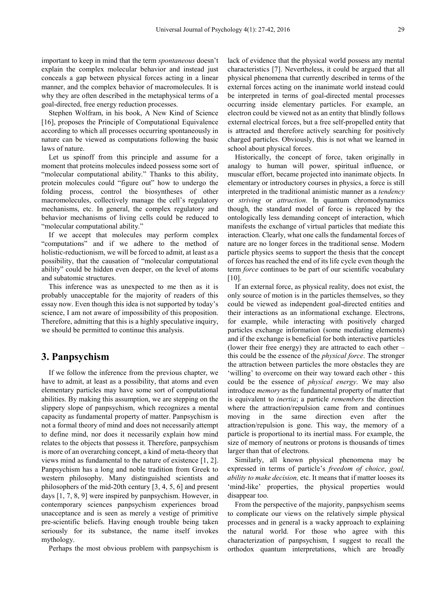important to keep in mind that the term *spontaneous* doesn't explain the complex molecular behavior and instead just conceals a gap between physical forces acting in a linear manner, and the complex behavior of macromolecules. It is why they are often described in the metaphysical terms of a goal-directed, free energy reduction processes.

Stephen Wolfram, in his book, A New Kind of Science [16], proposes the Principle of Computational Equivalence according to which all processes occurring spontaneously in nature can be viewed as computations following the basic laws of nature.

Let us spinoff from this principle and assume for a moment that proteins molecules indeed possess some sort of "molecular computational ability." Thanks to this ability, protein molecules could "figure out" how to undergo the folding process, control the biosyntheses of other macromolecules, collectively manage the cell's regulatory mechanisms, etc. In general, the complex regulatory and behavior mechanisms of living cells could be reduced to "molecular computational ability."

If we accept that molecules may perform complex "computations" and if we adhere to the method of holistic-reductionism, we will be forced to admit, at least as a possibility, that the causation of "molecular computational ability" could be hidden even deeper, on the level of atoms and subatomic structures.

This inference was as unexpected to me then as it is probably unacceptable for the majority of readers of this essay now. Even though this idea is not supported by today's science, I am not aware of impossibility of this proposition. Therefore, admitting that this is a highly speculative inquiry, we should be permitted to continue this analysis.

### **3. Panpsychism**

If we follow the inference from the previous chapter, we have to admit, at least as a possibility, that atoms and even elementary particles may have some sort of computational abilities. By making this assumption, we are stepping on the slippery slope of panpsychism, which recognizes a mental capacity as fundamental property of matter. Panpsychism is not a formal theory of mind and does not necessarily attempt to define mind, nor does it necessarily explain how mind relates to the objects that possess it. Therefore, panpsychism is more of an overarching concept, a kind of meta-theory that views mind as fundamental to the nature of existence [1, 2]. Panpsychism has a long and noble tradition from Greek to western philosophy. Many distinguished scientists and philosophers of the mid-20th century [3, 4, 5, 6] and present days [1, 7, 8, 9] were inspired by panpsychism. However, in contemporary sciences panpsychism experiences broad unacceptance and is seen as merely a vestige of primitive pre-scientific beliefs. Having enough trouble being taken seriously for its substance, the name itself invokes mythology.

Perhaps the most obvious problem with panpsychism is

lack of evidence that the physical world possess any mental characteristics [7]. Nevertheless, it could be argued that all physical phenomena that currently described in terms of the external forces acting on the inanimate world instead could be interpreted in terms of goal-directed mental processes occurring inside elementary particles. For example, an electron could be viewed not as an entity that blindly follows external electrical forces, but a free self-propelled entity that is attracted and therefore actively searching for positively charged particles. Obviously, this is not what we learned in school about physical forces.

Historically, the concept of force, taken originally in analogy to human will power, spiritual influence, or muscular effort, became projected into inanimate objects. In elementary or introductory courses in physics, a force is still interpreted in the traditional animistic manner as a *tendency* or *striving* or *attraction*. In quantum chromodynamics though, the standard model of force is replaced by the ontologically less demanding concept of interaction, which manifests the exchange of virtual particles that mediate this interaction. Clearly, what one calls the fundamental forces of nature are no longer forces in the traditional sense. Modern particle physics seems to support the thesis that the concept of forces has reached the end of its life cycle even though the term *force* continues to be part of our scientific vocabulary  $[10]$ .

If an external force, as physical reality, does not exist, the only source of motion is in the particles themselves, so they could be viewed as independent goal-directed entities and their interactions as an informational exchange. Electrons, for example, while interacting with positively charged particles exchange information (some mediating elements) and if the exchange is beneficial for both interactive particles (lower their free energy) they are attracted to each other – this could be the essence of the *physical force*. The stronger the attraction between particles the more obstacles they are 'willing' to overcome on their way toward each other - this could be the essence of *physical energy*. We may also introduce *memory* as the fundamental property of matter that is equivalent to *inertia*; a particle *remembers* the direction where the attraction/repulsion came from and continues moving in the same direction even after the attraction/repulsion is gone. This way, the memory of a particle is proportional to its inertial mass. For example, the size of memory of neutrons or protons is thousands of times larger than that of electrons.

Similarly, all known physical phenomena may be expressed in terms of particle's *freedom of choice*, *goal, ability to make decision,* etc. It means that if matter looses its 'mind-like' properties, the physical properties would disappear too.

From the perspective of the majority, panpsychism seems to complicate our views on the relatively simple physical processes and in general is a wacky approach to explaining the natural world. For those who agree with this characterization of panpsychism, I suggest to recall the orthodox quantum interpretations, which are broadly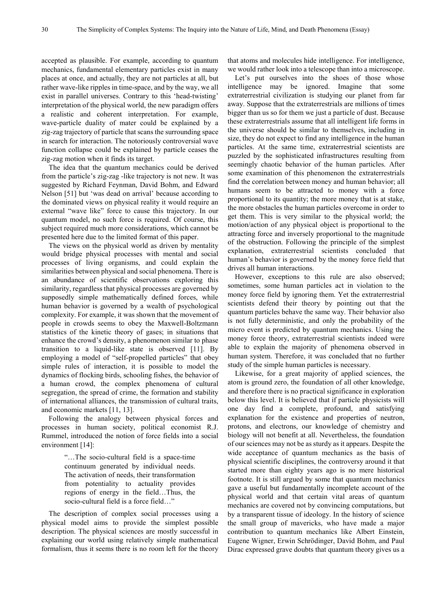accepted as plausible. For example, according to quantum mechanics, fundamental elementary particles exist in many places at once, and actually, they are not particles at all, but rather wave-like ripples in time-space, and by the way, we all exist in parallel universes. Contrary to this 'head-twisting' interpretation of the physical world, the new paradigm offers a realistic and coherent interpretation. For example, wave-particle duality of mater could be explained by a zig-zag trajectory of particle that scans the surrounding space in search for interaction. The notoriously controversial wave function collapse could be explained by particle ceases the zig-zag motion when it finds its target.

The idea that the quantum mechanics could be derived from the particle's zig-zag -like trajectory is not new. It was suggested by Richard Feynman, David Bohm, and Edward Nelson [51] but 'was dead on arrival' because according to the dominated views on physical reality it would require an external "wave like" force to cause this trajectory. In our quantum model, no such force is required. Of course, this subject required much more considerations, which cannot be presented here due to the limited format of this paper.

The views on the physical world as driven by mentality would bridge physical processes with mental and social processes of living organisms, and could explain the similarities between physical and social phenomena. There is an abundance of scientific observations exploring this similarity, regardless that physical processes are governed by supposedly simple mathematically defined forces, while human behavior is governed by a wealth of psychological complexity. For example, it was shown that the movement of people in crowds seems to obey the Maxwell-Boltzmann statistics of the kinetic theory of gases; in situations that enhance the crowd's density, a phenomenon similar to phase transition to a liquid-like state is observed [11]. By employing a model of "self-propelled particles" that obey simple rules of interaction, it is possible to model the dynamics of flocking birds, schooling fishes, the behavior of a human crowd, the complex phenomena of cultural segregation, the spread of crime, the formation and stability of international alliances, the transmission of cultural traits, and economic markets [11, 13].

Following the analogy between physical forces and processes in human society, political economist R.J. Rummel, introduced the notion of force fields into a social environment [14]:

> "…The socio-cultural field is a space-time continuum generated by individual needs. The activation of needs, their transformation from potentiality to actuality provides regions of energy in the field…Thus, the socio-cultural field is a force field…"

The description of complex social processes using a physical model aims to provide the simplest possible description. The physical sciences are mostly successful in explaining our world using relatively simple mathematical formalism, thus it seems there is no room left for the theory

that atoms and molecules hide intelligence. For intelligence, we would rather look into a telescope than into a microscope.

Let's put ourselves into the shoes of those whose intelligence may be ignored. Imagine that some extraterrestrial civilization is studying our planet from far away. Suppose that the extraterrestrials are millions of times bigger than us so for them we just a particle of dust. Because these extraterrestrials assume that all intelligent life forms in the universe should be similar to themselves, including in size, they do not expect to find any intelligence in the human particles. At the same time, extraterrestrial scientists are puzzled by the sophisticated infrastructures resulting from seemingly chaotic behavior of the human particles. After some examination of this phenomenon the extraterrestrials find the correlation between money and human behavior; all humans seem to be attracted to money with a force proportional to its quantity; the more money that is at stake, the more obstacles the human particles overcome in order to get them. This is very similar to the physical world; the motion/action of any physical object is proportional to the attracting force and inversely proportional to the magnitude of the obstruction. Following the principle of the simplest explanation, extraterrestrial scientists concluded that human's behavior is governed by the money force field that drives all human interactions.

However, exceptions to this rule are also observed; sometimes, some human particles act in violation to the money force field by ignoring them. Yet the extraterrestrial scientists defend their theory by pointing out that the quantum particles behave the same way. Their behavior also is not fully deterministic, and only the probability of the micro event is predicted by quantum mechanics. Using the money force theory, extraterrestrial scientists indeed were able to explain the majority of phenomena observed in human system. Therefore, it was concluded that no further study of the simple human particles is necessary.

Likewise, for a great majority of applied sciences, the atom is ground zero, the foundation of all other knowledge, and therefore there is no practical significance in exploration below this level. It is believed that if particle physicists will one day find a complete, profound, and satisfying explanation for the existence and properties of neutron, protons, and electrons, our knowledge of chemistry and biology will not benefit at all. Nevertheless, the foundation of our sciences may not be as sturdy as it appears. Despite the wide acceptance of quantum mechanics as the basis of physical scientific disciplines, the controversy around it that started more than eighty years ago is no mere historical footnote. It is still argued by some that quantum mechanics gave a useful but fundamentally incomplete account of the physical world and that certain vital areas of quantum mechanics are covered not by convincing computations, but by a transparent tissue of ideology. In the history of science the small group of mavericks, who have made a major contribution to quantum mechanics like Albert Einstein, Eugene Wigner, Erwin Schrödinger, David Bohm, and Paul Dirac expressed grave doubts that quantum theory gives us a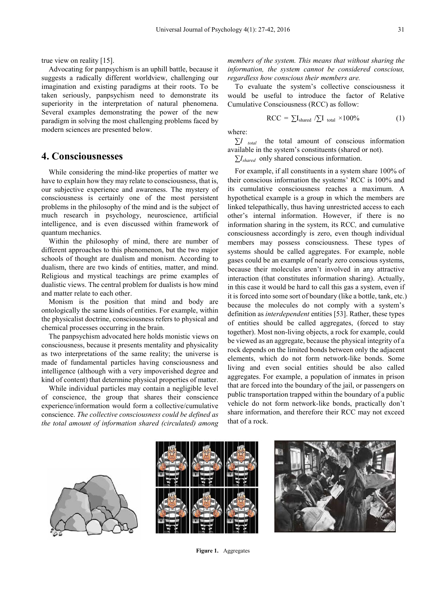true view on reality [15].

Advocating for panpsychism is an uphill battle, because it suggests a radically different worldview, challenging our imagination and existing paradigms at their roots. To be taken seriously, panpsychism need to demonstrate its superiority in the interpretation of natural phenomena. Several examples demonstrating the power of the new paradigm in solving the most challenging problems faced by modern sciences are presented below.

# **4. Consciousnesses**

While considering the mind-like properties of matter we have to explain how they may relate to consciousness, that is, our subjective experience and awareness. The mystery of consciousness is certainly one of the most persistent problems in the philosophy of the mind and is the subject of much research in psychology, neuroscience, artificial intelligence, and is even discussed within framework of quantum mechanics.

Within the philosophy of mind, there are number of different approaches to this phenomenon, but the two major schools of thought are dualism and monism. According to dualism, there are two kinds of entities, matter, and mind. Religious and mystical teachings are prime examples of dualistic views. The central problem for dualists is how mind and matter relate to each other.

Monism is the position that mind and body are ontologically the same kinds of entities. For example, within the physicalist doctrine, consciousness refers to physical and chemical processes occurring in the brain.

The panpsychism advocated here holds monistic views on consciousness, because it presents mentality and physicality as two interpretations of the same reality; the universe is made of fundamental particles having consciousness and intelligence (although with a very impoverished degree and kind of content) that determine physical properties of matter.

While individual particles may contain a negligible level of conscience, the group that shares their conscience experience/information would form a collective/cumulative conscience. *The collective consciousness could be defined as the total amount of information shared (circulated) among*

*members of the system. This means that without sharing the information, the system cannot be considered conscious, regardless how conscious their members are.*

To evaluate the system's collective consciousness it would be useful to introduce the factor of Relative Cumulative Consciousness (RCC) as follow:

$$
RCC = \sum I_{shared} / \sum I_{total} \times 100\% \tag{1}
$$

where:

*∑I total* the total amount of conscious information available in the system's constituents (shared or not).

*∑Ishared* only shared conscious information.

For example, if all constituents in a system share 100% of their conscious information the systems' RCC is 100% and its cumulative consciousness reaches a maximum. A hypothetical example is a group in which the members are linked telepathically, thus having unrestricted access to each other's internal information. However, if there is no information sharing in the system, its RCC*,* and cumulative consciousness accordingly is zero, even though individual members may possess consciousness. These types of systems should be called aggregates. For example, noble gases could be an example of nearly zero conscious systems, because their molecules aren't involved in any attractive interaction (that constitutes information sharing). Actually, in this case it would be hard to call this gas a system, even if it is forced into some sort of boundary (like a bottle, tank, etc.) because the molecules do not comply with a system's definition as *interdependent* entities [53]. Rather, these types of entities should be called aggregates, (forced to stay together). Most non-living objects, a rock for example, could be viewed as an aggregate, because the physical integrity of a rock depends on the limited bonds between only the adjacent elements, which do not form network-like bonds. Some living and even social entities should be also called aggregates. For example, a population of inmates in prison that are forced into the boundary of the jail, or passengers on public transportation trapped within the boundary of a public vehicle do not form network-like bonds, practically don't share information, and therefore their RCC may not exceed that of a rock.





**Figure 1.** Aggregates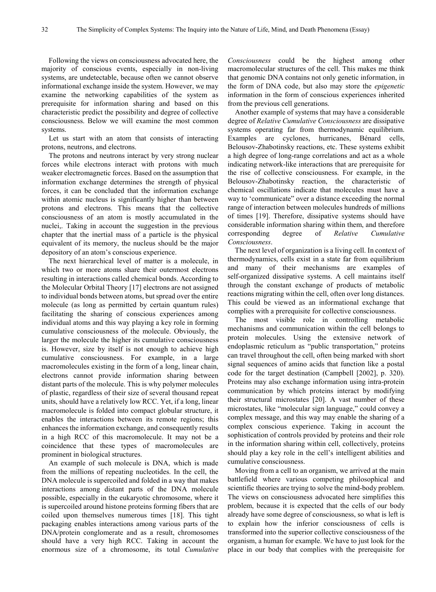Following the views on consciousness advocated here, the majority of conscious events, especially in non-living systems, are undetectable, because often we cannot observe informational exchange inside the system. However, we may examine the networking capabilities of the system as prerequisite for information sharing and based on this characteristic predict the possibility and degree of collective consciousness. Below we will examine the most common systems.

Let us start with an atom that consists of interacting protons, neutrons, and electrons.

The protons and neutrons interact by very strong nuclear forces while electrons interact with protons with much weaker electromagnetic forces. Based on the assumption that information exchange determines the strength of physical forces, it can be concluded that the information exchange within atomic nucleus is significantly higher than between protons and electrons. This means that the collective consciousness of an atom is mostly accumulated in the nuclei,. Taking in account the suggestion in the previous chapter that the inertial mass of a particle is the physical equivalent of its memory, the nucleus should be the major depository of an atom's conscious experience.

The next hierarchical level of matter is a molecule, in which two or more atoms share their outermost electrons resulting in interactions called chemical bonds. According to the Molecular Orbital Theory [17] electrons are not assigned to individual bonds between atoms, but spread over the entire molecule (as long as permitted by certain quantum rules) facilitating the sharing of conscious experiences among individual atoms and this way playing a key role in forming cumulative consciousness of the molecule. Obviously, the larger the molecule the higher its cumulative consciousness is. However, size by itself is not enough to achieve high cumulative consciousness. For example, in a large macromolecules existing in the form of a long, linear chain, electrons cannot provide information sharing between distant parts of the molecule. This is why polymer molecules of plastic, regardless of their size of several thousand repeat units, should have a relatively low RCC. Yet, if a long, linear macromolecule is folded into compact globular structure, it enables the interactions between its remote regions; this enhances the information exchange, and consequently results in a high RCC of this macromolecule. It may not be a coincidence that these types of macromolecules are prominent in biological structures.

An example of such molecule is DNA, which is made from the millions of repeating nucleotides. In the cell, the DNA molecule is supercoiled and folded in a way that makes interactions among distant parts of the DNA molecule possible, especially in the eukaryotic chromosome, where it is supercoiled around histone proteins forming fibers that are coiled upon themselves numerous times [18]. This tight packaging enables interactions among various parts of the DNA/protein conglomerate and as a result, chromosomes should have a very high RCC. Taking in account the enormous size of a chromosome, its total *Cumulative*

*Consciousness* could be the highest among other macromolecular structures of the cell. This makes me think that genomic DNA contains not only genetic information, in the form of DNA code, but also may store the *epigenetic* information in the form of conscious experiences inherited from the previous cell generations.

Another example of systems that may have a considerable degree of *Relative Cumulative Consciousness* are dissipative systems operating far from thermodynamic equilibrium. Examples are cyclones, hurricanes, Bénard cells, Belousov-Zhabotinsky reactions, etc. These systems exhibit a high degree of long-range correlations and act as a whole indicating network-like interactions that are prerequisite for the rise of collective consciousness. For example, in the Belousov-Zhabotinsky reaction, the characteristic of chemical oscillations indicate that molecules must have a way to 'communicate" over a distance exceeding the normal range of interaction between molecules hundreds of millions of times [19]. Therefore, dissipative systems should have considerable information sharing within them, and therefore corresponding degree of *Relative Cumulative Consciousness*.

The next level of organization is a living cell. In context of thermodynamics, cells exist in a state far from equilibrium and many of their mechanisms are examples of self-organized dissipative systems. A cell maintains itself through the constant exchange of products of metabolic reactions migrating within the cell, often over long distances. This could be viewed as an informational exchange that complies with a prerequisite for collective consciousness.

The most visible role in controlling metabolic mechanisms and communication within the cell belongs to protein molecules. Using the extensive network of endoplasmic reticulum as "public transportation," proteins can travel throughout the cell, often being marked with short signal sequences of amino acids that function like a postal code for the target destination (Campbell [2002], p. 320). Proteins may also exchange information using intra-protein communication by which proteins interact by modifying their structural microstates [20]. A vast number of these microstates, like "molecular sign language," could convey a complex message, and this way may enable the sharing of a complex conscious experience. Taking in account the sophistication of controls provided by proteins and their role in the information sharing within cell, collectively, proteins should play a key role in the cell's intelligent abilities and cumulative consciousness.

Moving from a cell to an organism, we arrived at the main battlefield where various competing philosophical and scientific theories are trying to solve the mind-body problem. The views on consciousness advocated here simplifies this problem, because it is expected that the cells of our body already have some degree of consciousness, so what is left is to explain how the inferior consciousness of cells is transformed into the superior collective consciousness of the organism, a human for example. We have to just look for the place in our body that complies with the prerequisite for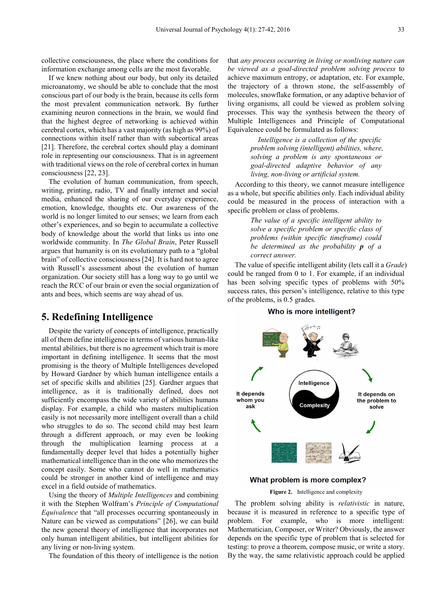collective consciousness, the place where the conditions for information exchange among cells are the most favorable.

If we knew nothing about our body, but only its detailed microanatomy, we should be able to conclude that the most conscious part of our body is the brain, because its cells form the most prevalent communication network. By further examining neuron connections in the brain, we would find that the highest degree of networking is achieved within cerebral cortex, which has a vast majority (as high as 99%) of connections within itself rather than with subcortical areas [21]. Therefore, the cerebral cortex should play a dominant role in representing our consciousness. That is in agreement with traditional views on the role of cerebral cortex in human consciousness [22, 23].

The evolution of human communication, from speech, writing, printing, radio, TV and finally internet and social media, enhanced the sharing of our everyday experience, emotion, knowledge, thoughts etc. Our awareness of the world is no longer limited to our senses; we learn from each other's experiences, and so begin to accumulate a collective body of knowledge about the world that links us into one worldwide community. In *The Global Brain*, Peter Russell argues that humanity is on its evolutionary path to a "global brain" of collective consciousness [24]. It is hard not to agree with Russell's assessment about the evolution of human organization. Our society still has a long way to go until we reach the RCC of our brain or even the social organization of ants and bees, which seems are way ahead of us.

### **5. Redefining Intelligence**

Despite the variety of concepts of intelligence, practically all of them define intelligence in terms of various human-like mental abilities, but there is no agreement which trait is more important in defining intelligence. It seems that the most promising is the theory of Multiple Intelligences developed by Howard Gardner by which human intelligence entails a set of specific skills and abilities [25]. Gardner argues that intelligence, as it is traditionally defined, does not sufficiently encompass the wide variety of abilities humans display. For example, a child who masters multiplication easily is not necessarily more intelligent overall than a child who struggles to do so. The second child may best learn through a different approach, or may even be looking through the multiplication learning process at a fundamentally deeper level that hides a potentially higher mathematical intelligence than in the one who memorizes the concept easily. Some who cannot do well in mathematics could be stronger in another kind of intelligence and may excel in a field outside of mathematics.

Using the theory of *Multiple Intelligences* and combining it with the Stephen Wolfram's *Principle of Computational Equivalence* that "all processes occurring spontaneously in Nature can be viewed as computations" [26], we can build the new general theory of intelligence that incorporates not only human intelligent abilities, but intelligent abilities for any living or non-living system.

The foundation of this theory of intelligence is the notion

that *any process occurring in living or nonliving nature can be viewed as a goal-directed problem solving process* to achieve maximum entropy, or adaptation, etc. For example, the trajectory of a thrown stone, the self-assembly of molecules, snowflake formation, or any adaptive behavior of living organisms, all could be viewed as problem solving processes. This way the synthesis between the theory of Multiple Intelligences and Principle of Computational Equivalence could be formulated as follows:

> *Intelligence is a collection of the specific problem solving (intelligent) abilities, where, solving a problem is any spontaneous or goal-directed adaptive behavior of any living, non-living or artificial system.*

According to this theory, we cannot measure intelligence as a whole, but specific abilities only. Each individual ability could be measured in the process of interaction with a specific problem or class of problems.

> *The value of a specific intelligent ability to solve a specific problem or specific class of problems (within specific timeframe) could be determined as the probability p of a correct answer.*

The value of specific intelligent ability (lets call it a *Grade*) could be ranged from 0 to 1. For example, if an individual has been solving specific types of problems with 50% success rates, this person's intelligence, relative to this type of the problems, is 0.5 grades.

#### Who is more intelligent?



#### What problem is more complex?

#### **Figure 2.** Intelligence and complexity

The problem solving ability is *relativistic* in nature, because it is measured in reference to a specific type of problem. For example, who is more intelligent: Mathematician, Composer, or Writer? Obviously, the answer depends on the specific type of problem that is selected for testing: to prove a theorem, compose music, or write a story. By the way, the same relativistic approach could be applied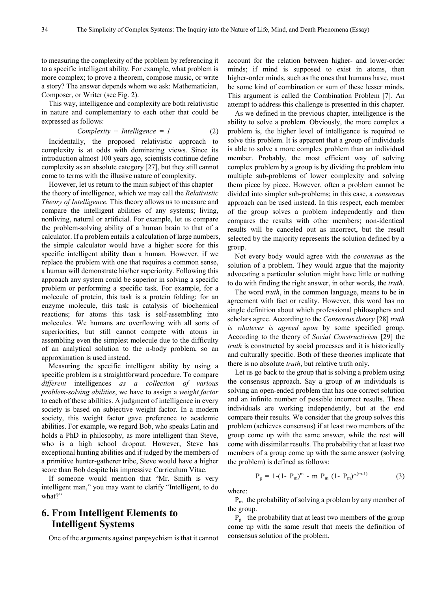to measuring the complexity of the problem by referencing it to a specific intelligent ability. For example, what problem is more complex; to prove a theorem, compose music, or write a story? The answer depends whom we ask: Mathematician, Composer, or Writer (see Fig. 2).

This way, intelligence and complexity are both relativistic in nature and complementary to each other that could be expressed as follows:

Complexity + Intelligence = 
$$
1
$$
 (2)

Incidentally, the proposed relativistic approach to complexity is at odds with dominating views. Since its introduction almost 100 years ago, scientists continue define complexity as an absolute category [27], but they still cannot come to terms with the illusive nature of complexity.

However, let us return to the main subject of this chapter – the theory of intelligence, which we may call the *Relativistic Theory of Intelligence.* This theory allows us to measure and compare the intelligent abilities of any systems; living, nonliving, natural or artificial. For example, let us compare the problem-solving ability of a human brain to that of a calculator. If a problem entails a calculation of large numbers, the simple calculator would have a higher score for this specific intelligent ability than a human. However, if we replace the problem with one that requires a common sense, a human will demonstrate his/her superiority. Following this approach any system could be superior in solving a specific problem or performing a specific task. For example, for a molecule of protein, this task is a protein folding; for an enzyme molecule, this task is catalysis of biochemical reactions; for atoms this task is self-assembling into molecules. We humans are overflowing with all sorts of superiorities, but still cannot compete with atoms in assembling even the simplest molecule due to the difficulty of an analytical solution to the n-body problem, so an approximation is used instead.

Measuring the specific intelligent ability by using a specific problem is a straightforward procedure. To compare *different* intelligences *as a collection of various problem-solving abilities*, we have to assign a *weight factor* to each of these abilities. A judgment of intelligence in every society is based on subjective weight factor. In a modern society, this weight factor gave preference to academic abilities. For example, we regard Bob, who speaks Latin and holds a PhD in philosophy, as more intelligent than Steve, who is a high school dropout. However, Steve has exceptional hunting abilities and if judged by the members of a primitive hunter-gatherer tribe, Steve would have a higher score than Bob despite his impressive Curriculum Vitae.

If someone would mention that "Mr. Smith is very intelligent man," you may want to clarify "Intelligent, to do what?"

# **6. From Intelligent Elements to Intelligent Systems**

One of the arguments against panpsychism is that it cannot

account for the relation between higher- and lower-order minds; if mind is supposed to exist in atoms, then higher-order minds, such as the ones that humans have, must be some kind of combination or sum of these lesser minds. This argument is called the Combination Problem [7]. An attempt to address this challenge is presented in this chapter.

As we defined in the previous chapter, intelligence is the ability to solve a problem. Obviously, the more complex a problem is, the higher level of intelligence is required to solve this problem. It is apparent that a group of individuals is able to solve a more complex problem than an individual member. Probably, the most efficient way of solving complex problem by a group is by dividing the problem into multiple sub-problems of lower complexity and solving them piece by piece. However, often a problem cannot be divided into simpler sub-problems; in this case, a *consensus* approach can be used instead. In this respect, each member of the group solves a problem independently and then compares the results with other members; non-identical results will be canceled out as incorrect, but the result selected by the majority represents the solution defined by a group.

Not every body would agree with the *consensus* as the solution of a problem. They would argue that the majority advocating a particular solution might have little or nothing to do with finding the right answer, in other words, the *truth*.

The word *truth*, in the common language, means to be in agreement with fact or reality. However, this word has no single definition about which professional philosophers and scholars agree. According to the *Consensus theory* [28] *truth is whatever is agreed upon* by some specified group. According to the theory of *Social Constructivism* [29] the *truth* is constructed by social processes and it is historically and culturally specific. Both of these theories implicate that there is no absolute *truth*, but relative truth only.

Let us go back to the group that is solving a problem using the consensus approach. Say a group of *m* individuals is solving an open-ended problem that has one correct solution and an infinite number of possible incorrect results. These individuals are working independently, but at the end compare their results. We consider that the group solves this problem (achieves consensus) if at least two members of the group come up with the same answer, while the rest will come with dissimilar results. The probability that at least two members of a group come up with the same answer (solving the problem) is defined as follows:

$$
P_g = 1 - (1 - P_m)^m - m P_m (1 - P_m)^{\wedge (m-1)}
$$
 (3)

where:

 $P_m$  the probability of solving a problem by any member of the group.

 $P_g$  the probability that at least two members of the group come up with the same result that meets the definition of consensus solution of the problem.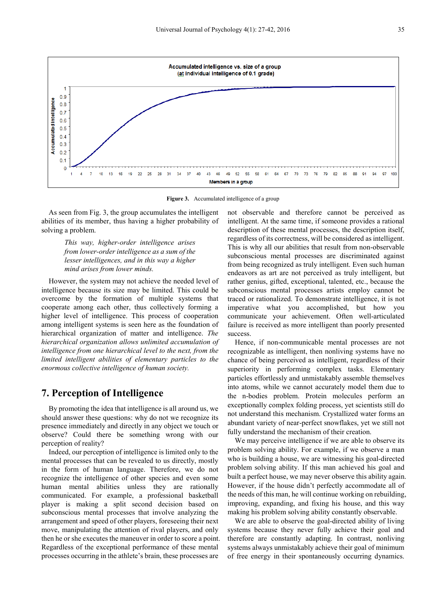

**Figure 3.** Accumulated intelligence of a group

As seen from Fig. 3, the group accumulates the intelligent abilities of its member, thus having a higher probability of solving a problem.

> *This way, higher-order intelligence arises from lower-order intelligence as a sum of the lesser intelligences, and in this way a higher mind arises from lower minds.*

However, the system may not achieve the needed level of intelligence because its size may be limited. This could be overcome by the formation of multiple systems that cooperate among each other, thus collectively forming a higher level of intelligence. This process of cooperation among intelligent systems is seen here as the foundation of hierarchical organization of matter and intelligence. *The hierarchical organization allows unlimited accumulation of intelligence from one hierarchical level to the next, from the limited intelligent abilities of elementary particles to the enormous collective intelligence of human society.*

# **7. Perception of Intelligence**

By promoting the idea that intelligence is all around us, we should answer these questions: why do not we recognize its presence immediately and directly in any object we touch or observe? Could there be something wrong with our perception of reality?

Indeed, our perception of intelligence is limited only to the mental processes that can be revealed to us directly, mostly in the form of human language. Therefore, we do not recognize the intelligence of other species and even some human mental abilities unless they are rationally communicated. For example, a professional basketball player is making a split second decision based on subconscious mental processes that involve analyzing the arrangement and speed of other players, foreseeing their next move, manipulating the attention of rival players, and only then he or she executes the maneuver in order to score a point. Regardless of the exceptional performance of these mental processes occurring in the athlete's brain, these processes are

not observable and therefore cannot be perceived as intelligent. At the same time, if someone provides a rational description of these mental processes, the description itself, regardless of its correctness, will be considered as intelligent. This is why all our abilities that result from non-observable subconscious mental processes are discriminated against from being recognized as truly intelligent. Even such human endeavors as art are not perceived as truly intelligent, but rather genius, gifted, exceptional, talented, etc., because the subconscious mental processes artists employ cannot be traced or rationalized. To demonstrate intelligence, it is not imperative what you accomplished, but how you communicate your achievement. Often well-articulated failure is received as more intelligent than poorly presented success.

Hence, if non-communicable mental processes are not recognizable as intelligent, then nonliving systems have no chance of being perceived as intelligent, regardless of their superiority in performing complex tasks. Elementary particles effortlessly and unmistakably assemble themselves into atoms, while we cannot accurately model them due to the n-bodies problem. Protein molecules perform an exceptionally complex folding process, yet scientists still do not understand this mechanism. Crystallized water forms an abundant variety of near-perfect snowflakes, yet we still not fully understand the mechanism of their creation.

We may perceive intelligence if we are able to observe its problem solving ability. For example, if we observe a man who is building a house, we are witnessing his goal-directed problem solving ability. If this man achieved his goal and built a perfect house, we may never observe this ability again. However, if the house didn't perfectly accommodate all of the needs of this man, he will continue working on rebuilding, improving, expanding, and fixing his house, and this way making his problem solving ability constantly observable.

We are able to observe the goal-directed ability of living systems because they never fully achieve their goal and therefore are constantly adapting. In contrast, nonliving systems always unmistakably achieve their goal of minimum of free energy in their spontaneously occurring dynamics.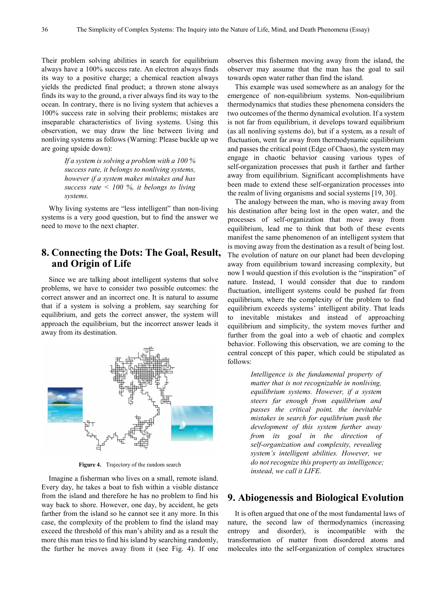Their problem solving abilities in search for equilibrium always have a 100% success rate. An electron always finds its way to a positive charge; a chemical reaction always yields the predicted final product; a thrown stone always finds its way to the ground, a river always find its way to the ocean. In contrary, there is no living system that achieves a 100% success rate in solving their problems; mistakes are inseparable characteristics of living systems. Using this observation, we may draw the line between living and nonliving systems as follows (Warning: Please buckle up we are going upside down):

> *If a system is solving a problem with a 100 % success rate, it belongs to nonliving systems, however if a system makes mistakes and has success rate < 100 %, it belongs to living systems.*

Why living systems are "less intelligent" than non-living systems is a very good question, but to find the answer we need to move to the next chapter.

# **8. Connecting the Dots: The Goal, Result, and Origin of Life**

Since we are talking about intelligent systems that solve problems, we have to consider two possible outcomes: the correct answer and an incorrect one. It is natural to assume that if a system is solving a problem, say searching for equilibrium, and gets the correct answer, the system will approach the equilibrium, but the incorrect answer leads it away from its destination.



**Figure 4.** Trajectory of the random search

Imagine a fisherman who lives on a small, remote island. Every day, he takes a boat to fish within a visible distance from the island and therefore he has no problem to find his way back to shore. However, one day, by accident, he gets farther from the island so he cannot see it any more. In this case, the complexity of the problem to find the island may exceed the threshold of this man's ability and as a result the more this man tries to find his island by searching randomly, the further he moves away from it (see Fig. 4). If one

observes this fishermen moving away from the island, the observer may assume that the man has the goal to sail towards open water rather than find the island.

This example was used somewhere as an analogy for the emergence of non-equilibrium systems. Non-equilibrium thermodynamics that studies these phenomena considers the two outcomes of the thermo dynamical evolution. If a system is not far from equilibrium, it develops toward equilibrium (as all nonliving systems do), but if a system, as a result of fluctuation, went far away from thermodynamic equilibrium and passes the critical point (Edge of Chaos), the system may engage in chaotic behavior causing various types of self-organization processes that push it farther and farther away from equilibrium. Significant accomplishments have been made to extend these self-organization processes into the realm of living organisms and social systems [19, 30].

The analogy between the man, who is moving away from his destination after being lost in the open water, and the processes of self-organization that move away from equilibrium, lead me to think that both of these events manifest the same phenomenon of an intelligent system that is moving away from the destination as a result of being lost. The evolution of nature on our planet had been developing away from equilibrium toward increasing complexity, but now I would question if this evolution is the "inspiration" of nature. Instead, I would consider that due to random fluctuation, intelligent systems could be pushed far from equilibrium, where the complexity of the problem to find equilibrium exceeds systems' intelligent ability. That leads to inevitable mistakes and instead of approaching equilibrium and simplicity, the system moves further and further from the goal into a web of chaotic and complex behavior. Following this observation, we are coming to the central concept of this paper, which could be stipulated as follows:

> *Intelligence is the fundamental property of matter that is not recognizable in nonliving, equilibrium systems. However, if a system steers far enough from equilibrium and passes the critical point, the inevitable mistakes in search for equilibrium push the development of this system further away from its goal in the direction of self-organization and complexity, revealing system's intelligent abilities. However, we do not recognize this property as intelligence; instead, we call it LIFE.*

# **9. Abiogenessis and Biological Evolution**

It is often argued that one of the most fundamental laws of nature, the second law of thermodynamics (increasing entropy and disorder), is incompatible with the transformation of matter from disordered atoms and molecules into the self-organization of complex structures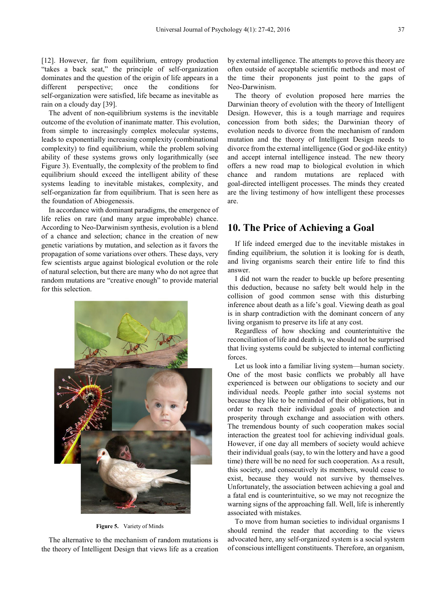[12]. However, far from equilibrium, entropy production "takes a back seat," the principle of self-organization dominates and the question of the origin of life appears in a different perspective; once the conditions for self-organization were satisfied, life became as inevitable as rain on a cloudy day [39].

The advent of non-equilibrium systems is the inevitable outcome of the evolution of inanimate matter. This evolution, from simple to increasingly complex molecular systems, leads to exponentially increasing complexity (combinational complexity) to find equilibrium, while the problem solving ability of these systems grows only logarithmically (see Figure 3). Eventually, the complexity of the problem to find equilibrium should exceed the intelligent ability of these systems leading to inevitable mistakes, complexity, and self-organization far from equilibrium. That is seen here as the foundation of Abiogenessis.

In accordance with dominant paradigms, the emergence of life relies on rare (and many argue improbable) chance. According to Neo-Darwinism synthesis, evolution is a blend of a chance and selection; chance in the creation of new genetic variations by mutation, and selection as it favors the propagation of some variations over others. These days, very few scientists argue against biological evolution or the role of natural selection, but there are many who do not agree that random mutations are "creative enough" to provide material for this selection.



**Figure 5.** Variety of Minds

The alternative to the mechanism of random mutations is the theory of Intelligent Design that views life as a creation

by external intelligence. The attempts to prove this theory are often outside of acceptable scientific methods and most of the time their proponents just point to the gaps of Neo-Darwinism.

The theory of evolution proposed here marries the Darwinian theory of evolution with the theory of Intelligent Design. However, this is a tough marriage and requires concession from both sides; the Darwinian theory of evolution needs to divorce from the mechanism of random mutation and the theory of Intelligent Design needs to divorce from the external intelligence (God or god-like entity) and accept internal intelligence instead. The new theory offers a new road map to biological evolution in which chance and random mutations are replaced with goal-directed intelligent processes. The minds they created are the living testimony of how intelligent these processes are.

# **10. The Price of Achieving a Goal**

If life indeed emerged due to the inevitable mistakes in finding equilibrium, the solution it is looking for is death, and living organisms search their entire life to find this answer.

I did not warn the reader to buckle up before presenting this deduction, because no safety belt would help in the collision of good common sense with this disturbing inference about death as a life's goal. Viewing death as goal is in sharp contradiction with the dominant concern of any living organism to preserve its life at any cost.

Regardless of how shocking and counterintuitive the reconciliation of life and death is, we should not be surprised that living systems could be subjected to internal conflicting forces.

Let us look into a familiar living system—human society. One of the most basic conflicts we probably all have experienced is between our obligations to society and our individual needs. People gather into social systems not because they like to be reminded of their obligations, but in order to reach their individual goals of protection and prosperity through exchange and association with others. The tremendous bounty of such cooperation makes social interaction the greatest tool for achieving individual goals. However, if one day all members of society would achieve their individual goals (say, to win the lottery and have a good time) there will be no need for such cooperation. As a result, this society, and consecutively its members, would cease to exist, because they would not survive by themselves. Unfortunately, the association between achieving a goal and a fatal end is counterintuitive, so we may not recognize the warning signs of the approaching fall. Well, life is inherently associated with mistakes.

To move from human societies to individual organisms I should remind the reader that according to the views advocated here, any self-organized system is a social system of conscious intelligent constituents. Therefore, an organism,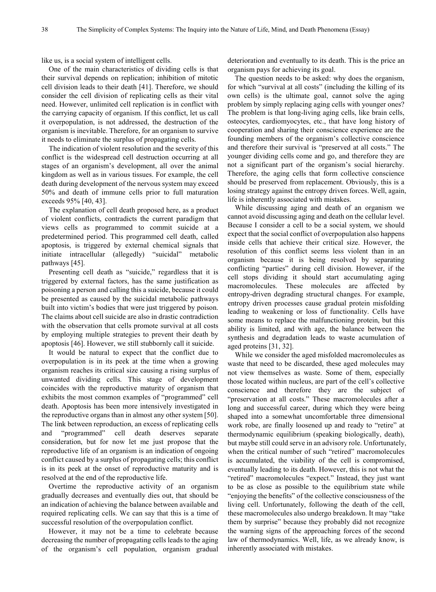like us, is a social system of intelligent cells.

One of the main characteristics of dividing cells is that their survival depends on replication; inhibition of mitotic cell division leads to their death [41]. Therefore, we should consider the cell division of replicating cells as their vital need. However, unlimited cell replication is in conflict with the carrying capacity of organism. If this conflict, let us call it overpopulation, is not addressed, the destruction of the organism is inevitable. Therefore, for an organism to survive it needs to eliminate the surplus of propagating cells.

The indication of violent resolution and the severity of this conflict is the widespread cell destruction occurring at all stages of an organism's development, all over the animal kingdom as well as in various tissues. For example, the cell death during development of the nervous system may exceed 50% and death of immune cells prior to full maturation exceeds 95% [40, 43].

The explanation of cell death proposed here, as a product of violent conflicts, contradicts the current paradigm that views cells as programmed to commit suicide at a predetermined period. This programmed cell death, called apoptosis, is triggered by external chemical signals that initiate intracellular (allegedly) "suicidal" metabolic pathways [45].

Presenting cell death as "suicide," regardless that it is triggered by external factors, has the same justification as poisoning a person and calling this a suicide, because it could be presented as caused by the suicidal metabolic pathways built into victim's bodies that were just triggered by poison. The claims about cell suicide are also in drastic contradiction with the observation that cells promote survival at all costs by employing multiple strategies to prevent their death by apoptosis [46]. However, we still stubbornly call it suicide.

It would be natural to expect that the conflict due to overpopulation is in its peek at the time when a growing organism reaches its critical size causing a rising surplus of unwanted dividing cells. This stage of development coincides with the reproductive maturity of organism that exhibits the most common examples of "programmed" cell death. Apoptosis has been more intensively investigated in the reproductive organs than in almost any other system [50]. The link between reproduction, an excess of replicating cells and "programmed" cell death deserves separate consideration, but for now let me just propose that the reproductive life of an organism is an indication of ongoing conflict caused by a surplus of propagating cells; this conflict is in its peek at the onset of reproductive maturity and is resolved at the end of the reproductive life.

Overtime the reproductive activity of an organism gradually decreases and eventually dies out, that should be an indication of achieving the balance between available and required replicating cells. We can say that this is a time of successful resolution of the overpopulation conflict.

However, it may not be a time to celebrate because decreasing the number of propagating cells leads to the aging of the organism's cell population, organism gradual

deterioration and eventually to its death. This is the price an organism pays for achieving its goal.

The question needs to be asked: why does the organism, for which "survival at all costs" (including the killing of its own cells) is the ultimate goal, cannot solve the aging problem by simply replacing aging cells with younger ones? The problem is that long-living aging cells, like brain cells, osteocytes, cardiomyocytes, etc., that have long history of cooperation and sharing their conscience experience are the founding members of the organism's collective conscience and therefore their survival is "preserved at all costs." The younger dividing cells come and go, and therefore they are not a significant part of the organism's social hierarchy. Therefore, the aging cells that form collective conscience should be preserved from replacement. Obviously, this is a losing strategy against the entropy driven forces. Well, again, life is inherently associated with mistakes.

While discussing aging and death of an organism we cannot avoid discussing aging and death on the cellular level. Because I consider a cell to be a social system, we should expect that the social conflict of overpopulation also happens inside cells that achieve their critical size. However, the resolution of this conflict seems less violent than in an organism because it is being resolved by separating conflicting "parties" during cell division. However, if the cell stops dividing it should start accumulating aging macromolecules. These molecules are affected by entropy-driven degrading structural changes. For example, entropy driven processes cause gradual protein misfolding leading to weakening or loss of functionality. Cells have some means to replace the malfunctioning protein, but this ability is limited, and with age, the balance between the synthesis and degradation leads to waste acumulation of aged proteins [31, 32].

While we consider the aged misfolded macromolecules as waste that need to be discarded, these aged molecules may not view themselves as waste. Some of them, especially those located within nucleus, are part of the cell's collective conscience and therefore they are the subject of "preservation at all costs." These macromolecules after a long and successful career, during which they were being shaped into a somewhat uncomfortable three dimensional work robe, are finally loosened up and ready to "retire" at thermodynamic equilibrium (speaking biologically, death), but maybe still could serve in an advisory role. Unfortunately, when the critical number of such "retired" macromolecules is accumulated, the viability of the cell is compromised, eventually leading to its death. However, this is not what the "retired" macromolecules "expect." Instead, they just want to be as close as possible to the equilibrium state while "enjoying the benefits" of the collective consciousness of the living cell. Unfortunately, following the death of the cell, these macromolecules also undergo breakdown. It may "take them by surprise" because they probably did not recognize the warning signs of the approaching forces of the second law of thermodynamics. Well, life, as we already know, is inherently associated with mistakes.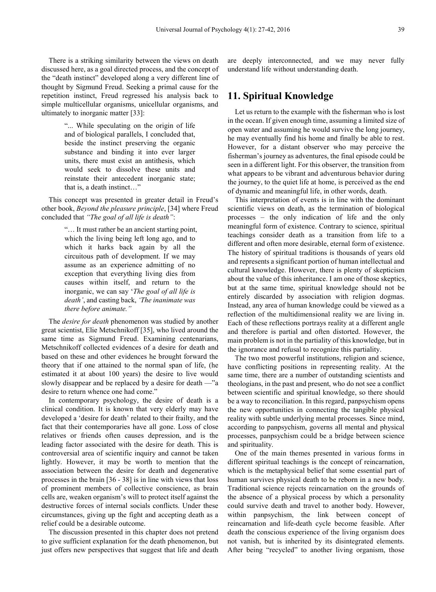There is a striking similarity between the views on death discussed here, as a goal directed process, and the concept of the "death instinct" developed along a very different line of thought by Sigmund Freud. Seeking a primal cause for the repetition instinct, Freud regressed his analysis back to simple multicellular organisms, unicellular organisms, and ultimately to inorganic matter [33]:

> "... While speculating on the origin of life and of biological parallels, I concluded that, beside the instinct preserving the organic substance and binding it into ever larger units, there must exist an antithesis, which would seek to dissolve these units and reinstate their antecedent inorganic state; that is, a death instinct…"

This concept was presented in greater detail in Freud's other book, *Beyond the pleasure principle*, [34] where Freud concluded that *"The goal of all life is death"*:

> "… It must rather be an ancient starting point, which the living being left long ago, and to which it harks back again by all the circuitous path of development. If we may assume as an experience admitting of no exception that everything living dies from causes within itself, and return to the inorganic, we can say '*The goal of all life is death'*, and casting back, *'The inanimate was there before animate."*

The *desire for death* phenomenon was studied by another great scientist, Elie Metschnikoff [35], who lived around the same time as Sigmund Freud. Examining centenarians, Metschnikoff collected evidences of a desire for death and based on these and other evidences he brought forward the theory that if one attained to the normal span of life, (he estimated it at about 100 years) the desire to live would slowly disappear and be replaced by a desire for death —"a desire to return whence one had come."

In contemporary psychology, the desire of death is a clinical condition. It is known that very elderly may have developed a 'desire for death' related to their frailty, and the fact that their contemporaries have all gone. Loss of close relatives or friends often causes depression, and is the leading factor associated with the desire for death. This is controversial area of scientific inquiry and cannot be taken lightly. However, it may be worth to mention that the association between the desire for death and degenerative processes in the brain [36 - 38] is in line with views that loss of prominent members of collective conscience, as brain cells are, weaken organism's will to protect itself against the destructive forces of internal socials conflicts. Under these circumstances, giving up the fight and accepting death as a relief could be a desirable outcome.

The discussion presented in this chapter does not pretend to give sufficient explanation for the death phenomenon, but just offers new perspectives that suggest that life and death

are deeply interconnected, and we may never fully understand life without understanding death.

# **11. Spiritual Knowledge**

Let us return to the example with the fisherman who is lost in the ocean. If given enough time, assuming a limited size of open water and assuming he would survive the long journey, he may eventually find his home and finally be able to rest. However, for a distant observer who may perceive the fisherman's journey as adventures, the final episode could be seen in a different light. For this observer, the transition from what appears to be vibrant and adventurous behavior during the journey, to the quiet life at home, is perceived as the end of dynamic and meaningful life, in other words, death.

This interpretation of events is in line with the dominant scientific views on death, as the termination of biological processes – the only indication of life and the only meaningful form of existence. Contrary to science, spiritual teachings consider death as a transition from life to a different and often more desirable, eternal form of existence. The history of spiritual traditions is thousands of years old and represents a significant portion of human intellectual and cultural knowledge. However, there is plenty of skepticism about the value of this inheritance. I am one of those skeptics, but at the same time, spiritual knowledge should not be entirely discarded by association with religion dogmas. Instead, any area of human knowledge could be viewed as a reflection of the multidimensional reality we are living in. Each of these reflections portrays reality at a different angle and therefore is partial and often distorted. However, the main problem is not in the partiality of this knowledge, but in the ignorance and refusal to recognize this partiality.

The two most powerful institutions, religion and science, have conflicting positions in representing reality. At the same time, there are a number of outstanding scientists and theologians, in the past and present, who do not see a conflict between scientific and spiritual knowledge, so there should be a way to reconciliation. In this regard, panpsychism opens the new opportunities in connecting the tangible physical reality with subtle underlying mental processes. Since mind, according to panpsychism, governs all mental and physical processes, panpsychism could be a bridge between science and spirituality.

One of the main themes presented in various forms in different spiritual teachings is the concept of reincarnation, which is the metaphysical belief that some essential part of human survives physical death to be reborn in a new body. Traditional science rejects reincarnation on the grounds of the absence of a physical process by which a personality could survive death and travel to another body. However, within panpsychism, the link between concept of reincarnation and life-death cycle become feasible. After death the conscious experience of the living organism does not vanish, but is inherited by its disintegrated elements. After being "recycled" to another living organism, those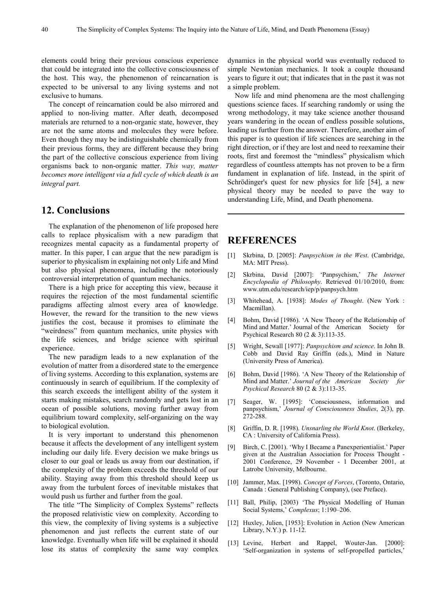elements could bring their previous conscious experience that could be integrated into the collective consciousness of the host. This way, the phenomenon of reincarnation is expected to be universal to any living systems and not exclusive to humans.

The concept of reincarnation could be also mirrored and applied to non-living matter. After death, decomposed materials are returned to a non-organic state, however, they are not the same atoms and molecules they were before. Even though they may be indistinguishable chemically from their previous forms, they are different because they bring the part of the collective conscious experience from living organisms back to non-organic matter. *This way, matter becomes more intelligent via a full cycle of which death is an integral part.*

# **12. Conclusions**

The explanation of the phenomenon of life proposed here calls to replace physicalism with a new paradigm that recognizes mental capacity as a fundamental property of matter. In this paper, I can argue that the new paradigm is superior to physicalism in explaining not only Life and Mind but also physical phenomena, including the notoriously controversial interpretation of quantum mechanics.

There is a high price for accepting this view, because it requires the rejection of the most fundamental scientific paradigms affecting almost every area of knowledge. However, the reward for the transition to the new views justifies the cost, because it promises to eliminate the "weirdness" from quantum mechanics, unite physics with the life sciences, and bridge science with spiritual experience.

The new paradigm leads to a new explanation of the evolution of matter from a disordered state to the emergence of living systems. According to this explanation, systems are continuously in search of equilibrium. If the complexity of this search exceeds the intelligent ability of the system it starts making mistakes, search randomly and gets lost in an ocean of possible solutions, moving further away from equilibrium toward complexity, self-organizing on the way to biological evolution.

It is very important to understand this phenomenon because it affects the development of any intelligent system including our daily life. Every decision we make brings us closer to our goal or leads us away from our destination, if the complexity of the problem exceeds the threshold of our ability. Staying away from this threshold should keep us away from the turbulent forces of inevitable mistakes that would push us further and further from the goal.

The title "The Simplicity of Complex Systems" reflects the proposed relativistic view on complexity. According to this view, the complexity of living systems is a subjective phenomenon and just reflects the current state of our knowledge. Eventually when life will be explained it should lose its status of complexity the same way complex

dynamics in the physical world was eventually reduced to simple Newtonian mechanics. It took a couple thousand years to figure it out; that indicates that in the past it was not a simple problem.

Now life and mind phenomena are the most challenging questions science faces. If searching randomly or using the wrong methodology, it may take science another thousand years wandering in the ocean of endless possible solutions, leading us further from the answer. Therefore, another aim of this paper is to question if life sciences are searching in the right direction, or if they are lost and need to reexamine their roots, first and foremost the "mindless" physicalism which regardless of countless attempts has not proven to be a firm fundament in explanation of life. Instead, in the spirit of Schrödinger's quest for new physics for life [54], a new physical theory may be needed to pave the way to understanding Life, Mind, and Death phenomena.

### **REFERENCES**

- [1] Skrbina, D. [2005]: *Panpsychism in the West*. (Cambridge, MA: MIT Press).
- [2] Skrbina, David [2007]: 'Panpsychism,' *The Internet Encyclopedia of Philosophy*. Retrieved 01/10/2010, from: www.utm.edu/research/iep/p/panpsych.htm
- [3] Whitehead, A. [1938]: *Modes of Thought*. (New York : Macmillan).
- [4] Bohm, David [1986). 'A New Theory of the Relationship of Mind and Matter.' Journal of the American Society for Psychical Research 80 (2 & 3):113-35.
- [5] Wright, Sewall [1977]: *Panpsychism and science*. In John B. Cobb and David Ray Griffin (eds.), Mind in Nature (University Press of America).
- [6] Bohm, David [1986). 'A New Theory of the Relationship of Mind and Matter.' *Journal of the American Society for Psychical Research* 80 (2 & 3):113-35.
- [7] Seager, W. [1995]: 'Consciousness, information and panpsychism,' *Journal of Consciousness Studies*, 2(3), pp. 272-288.
- [8] Griffin, D. R. [1998). *Unsnarling the World Knot*. (Berkeley, CA : University of California Press).
- [9] Birch, C. [2001). 'Why I Became a Panexperientialist.' Paper given at the Australian Association for Process Thought - 2001 Conference, 29 November - 1 December 2001, at Latrobe University, Melbourne.
- [10] Jammer, Max. [1998). *Concept of Forces*, (Toronto, Ontario, Canada : General Publishing Company), (see Preface).
- [11] Ball, Philip, [2003) 'The Physical Modelling of Human Social Systems,' *Complexus*; 1:190–206.
- [12] Huxley, Julien, [1953]: Evolution in Action (New American Library, N.Y.) p. 11-12.
- [13] Levine, Herbert and Rappel, Wouter-Jan. [2000]: 'Self-organization in systems of self-propelled particles,'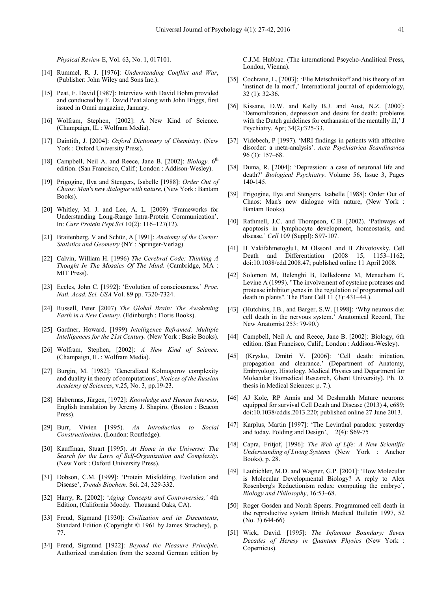*Physical Review* E, Vol. 63, No. 1, 017101.

- [14] Rummel, R. J. [1976]: *Understanding Conflict and War*, (Publisher: John Wiley and Sons Inc.).
- [15] Peat, F. David [1987]: Interview with David Bohm provided and conducted by F. David Peat along with John Briggs, first issued in Omni magazine, January.
- [16] Wolfram, Stephen, [2002]: A New Kind of Science. (Champaign, IL : Wolfram Media).
- [17] Daintith, J. [2004]: *Oxford Dictionary of Chemistry*. (New York : Oxford University Press).
- [18] Campbell, Neil A. and Reece, Jane B. [2002]: *Biology*, 6<sup>th</sup> edition. (San Francisco, Calif.; London : Addison-Wesley).
- [19] Prigogine, Ilya and Stengers, Isabelle [1988]: *Order Out of Chaos: Man's new dialogue with nature*, (New York : Bantam Books).
- [20] Whitley, M. J. and Lee, A. L. [2009) 'Frameworks for Understanding Long-Range Intra-Protein Communication'. In: *Curr Protein Pept Sci* 10(2): 116–127(12).
- [21] Braitenberg, V and Schüz, A [1991]: *Anatomy of the Cortex: Statistics and Geometry* (NY : Springer-Verlag).
- [22] Calvin, William H. [1996) *The Cerebral Code: Thinking A Thought In The Mosaics Of The Mind*. (Cambridge, MA : MIT Press).
- [23] Eccles, John C. [1992]: 'Evolution of consciousness.' *Proc. Natl. Acad. Sci. USA* Vol. 89 pp. 7320-7324.
- [24] Russell, Peter [2007) *The Global Brain: The Awakening Earth in a New Century.* (Edinburgh : Floris Books).
- [25] Gardner, Howard. [1999) *Intelligence Reframed: Multiple Intelligences for the 21st Century.* (New York : Basic Books).
- [26] Wolfram, Stephen, [2002]: *A New Kind of Science*. (Champaign, IL : Wolfram Media).
- [27] Burgin, M. [1982]: 'Generalized Kolmogorov complexity and duality in theory of computations', *Notices of the Russian Academy of Sciences*, v.25, No. 3, pp.19-23.
- [28] Habermas, Jürgen, [1972]: *Knowledge and Human Interests*, English translation by Jeremy J. Shapiro, (Boston : Beacon Press).
- [29] Burr, Vivien [1995). *An Introduction to Social Constructionism*. (London: Routledge).
- [30] Kauffman, Stuart [1995). *At Home in the Universe: The Search for the Laws of Self-Organization and Complexity*. (New York : Oxford University Press).
- [31] Dobson, C.M. [1999]: 'Protein Misfolding, Evolution and Disease', *Trends Biochem*. Sci. 24, 329-332.
- [32] Harry, R. [2002]: '*Aging Concepts and Controversies,'* 4th Edition, (California Moody. Thousand Oaks, CA).
- [33] Freud, Sigmund [1930]: *Civilization and its Discontents,* Standard Edition (Copyright © 1961 by James Strachey), p. 77.
- [34] Freud, Sigmund [1922]: *Beyond the Pleasure Principle*. Authorized translation from the second German edition by

C.J.M. Hubbac. (The international Pscycho-Analitical Press, London, Vienna).

- [35] Cochrane, L. [2003]: 'Elie Metschnikoff and his theory of an 'instinct de la mort',' International journal of epidemiology, 32 (1): 32-36.
- [36] Kissane, D.W. and Kelly B.J. and Aust, N.Z. [2000]: 'Demoralization, depression and desire for death: problems with the Dutch guidelines for euthanasia of the mentally ill,' J Psychiatry. Apr; 34(2):325-33.
- [37] Videbech, P [1997). 'MRI findings in patients with affective disorder: a meta-analysis'. *Acta Psychiatrica Scandinavica* 96 (3): 157–68.
- [38] Duma, R. [2004]: 'Depression: a case of neuronal life and death?' *Biological Psychiatry*. Volume 56, Issue 3, Pages 140-145.
- [39] Prigogine, Ilya and Stengers, Isabelle [1988]: Order Out of Chaos: Man's new dialogue with nature, (New York : Bantam Books).
- [40] Rathmell, J.C. and Thompson, C.B. [2002). 'Pathways of apoptosis in lymphocyte development, homeostasis, and disease.' *Cell* 109 (Suppl): S97-107.
- [41] H Vakifahmetoglu1, M Olsson1 and B Zhivotovsky. Cell Death and Differentiation (2008 15, 1153–1162; doi:10.1038/cdd.2008.47; published online 11 April 2008.
- [42] Solomon M, Belenghi B, Delledonne M, Menachem E, Levine A (1999). "The involvement of cysteine proteases and protease inhibitor genes in the regulation of programmed cell death in plants". The Plant Cell 11 (3): 431–44.).
- [43] (Hutchins, J.B., and Barger, S.W. [1998]: 'Why neurons die: cell death in the nervous system.' Anatomical Record, The New Anatomist 253: 79-90.)
- [44] Campbell, Neil A. and Reece, Jane B. [2002]: Biology, 6th edition. (San Francisco, Calif.; London : Addison-Wesley).
- [45] (Krysko, Dmitri V. [2006]: 'Cell death: initiation, propagation and clearance.' (Department of Anatomy, Embryology, Histology, Medical Physics and Department for Molecular Biomedical Research, Ghent University). Ph. D. thesis in Medical Sciences: p. 7.).
- [46] AJ Kole, RP Annis and M Deshmukh Mature neurons: equipped for survival Cell Death and Disease (2013) 4, e689; doi:10.1038/cddis.2013.220; published online 27 June 2013.
- [47] Karplus, Martin [1997]: 'The Levinthal paradox: yesterday and today. Folding and Design', 2(4): S69-75
- [48] Capra, Fritjof, [1996]: *The Web of Life: A New Scientific Understanding of Living Systems* (New York : Anchor Books), p. 28.
- [49] Laubichler, M.D. and Wagner, G.P. [2001]: 'How Molecular is Molecular Developmental Biology? A reply to Alex Rosenberg's Reductionism redux: computing the embryo', *Biology and Philosophy*, 16:53–68.
- [50] Roger Gosden and Norah Spears. Programmed cell death in the reproductive system British Medical Bulletin 1997, 52 (No. 3) 644-66)
- [51] Wick, David. [1995]: *The Infamous Boundary: Seven Decades of Heresy in Quantum Physics* (New York : Copernicus).